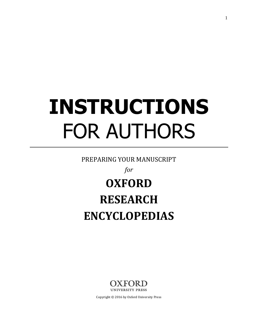# **INSTRUCTIONS** FOR AUTHORS

PREPARING YOUR MANUSCRIPT

*for*

# **OXFORD RESEARCH ENCYCLOPEDIAS**



Copyright © 2016 by Oxford University Press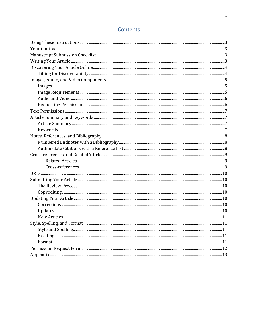# Contents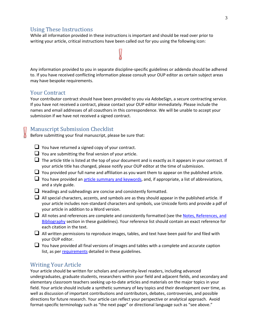# Using These Instructions

While all information provided in these instructions is important and should be read over prior to writing your article, critical instructions have been called out for you using the following icon:

Any information provided to you in separate discipline-specific guidelines or addenda should be adhered to. If you have received conflicting information please consult your OUP editor as certain subject areas may have bespoke requirements.

# Your Contract

Your contributor contract should have been provided to you via AdobeSign, a secure contracting service. If you have not received a contract, please contact your OUP editor immediately. Please include the names and email addresses of all coauthors in this correspondence. We will be unable to accept your submission if we have not received a signed contract.

# Manuscript Submission Checklist

Before submitting your final manuscript, please be sure that:

- <span id="page-2-0"></span> $\Box$  You have returned a signed copy of your contract.
- $\Box$  You are submitting the final version of your article.
- $\Box$  The article title is listed at the top of your document and is exactly as it appears in your contract. If your article title has changed, please notify your OUP editor at the time of submission.
- $\Box$  You provided your full name and affiliation as you want them to appear on the published article.
- $\Box$  You have provided a[n article summary](#page-6-0) and keywords, and, if appropriate, a list of abbreviations, and a style guide.
- $\Box$  Headings and subheadings are concise and consistently formatted.
- $\Box$  All special characters, accents, and symbols are as they should appear in the published article. If your article includes non-standard characters and symbols, use Unicode fonts and provide a pdf of your article in addition to a Word version.
- All notes and references are complete and consistently formatted (see the Notes, References, and [Bibliography](#page-7-0) section in these guidelines). Your reference list should contain an exact reference for each citation in the text.
- $\Box$  All written permissions to reproduce images, tables, and text have been paid for and filed with your OUP editor.
- $\Box$  You have provided all final versions of images and tables with a complete and accurate caption list, as per [requirements](#page-3-0) detailed in these guidelines.

#### Writing Your Article

Your article should be written for scholars and university-level readers, including advanced undergraduates, graduate students, researchers within your field and adjacent fields, and secondary and elementary classroom teachers seeking up-to-date articles and materials on the major topics in your field. Your article should include a synthetic summary of key topics and their development over time, as well as discussion of important contributions and contributors, debates, controversies, and possible directions for future research. Your article can reflect your perspective or analytical approach. Avoid format-specific terminology such as "the next page" or directional language such as "see above."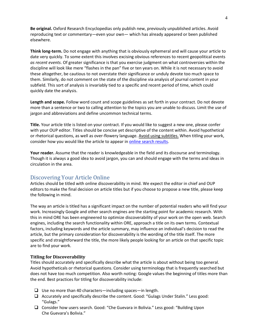**Be original.** Oxford Research Encyclopedias only publish new, previously unpublished articles. Avoid reproducing text or commentary—even your own— which has already appeared or been published elsewhere.

**Think long-term.** Do not engage with anything that is obviously ephemeral and will cause your article to date very quickly. To some extent this involves excising obvious references to recent geopolitical events *as recent events*. Of greater significance is that you exercise judgment on what controversies within the discipline will look like mere "flashes in the pan" five or ten years on. While it is not necessary to avoid these altogether, be cautious to not overstate their significance or unduly devote too much space to them. Similarly, do not comment on the state of the discipline via analysis of journal content in your subfield. This sort of analysis is invariably tied to a specific and recent period of time, which could quickly date the analysis.

**Length and scope.** Follow word count and scope guidelines as set forth in your contract. Do not devote more than a sentence or two to calling attention to the topics you are unable to discuss. Limit the use of jargon and abbreviations and define uncommon technical terms.

**Title.** Your article title is listed on your contract. If you would like to suggest a new one, please confer with your OUP editor. Titles should be concise yet descriptive of the content within. Avoid hypothetical or rhetorical questions, as well as over-flowery language. Avoid using subtitles. When titling your work, consider how you would like the article to appear i[n online search results.](#page-3-0)

**Your reader.** Assume that the reader is knowledgeable in the field and its discourse and terminology. Though it is always a good idea to avoid jargon, you can and should engage with the terms and ideas in circulation in the area.

# <span id="page-3-0"></span>Discovering Your Article Online

Articles should be titled with online discoverability in mind. We expect the editor in chief and OUP editors to make the final decision on article titles but if you choose to propose a new title, please keep the following in mind.

The way an article is titled has a significant impact on the number of potential readers who will find your work. Increasingly Google and other search engines are the starting point for academic research. With this in mind ORE has been engineered to optimize discoverability of your work on the open web. Search engines, including the search functionality within ORE, approach a title on its own terms. Contextual factors, including keywords and the article summary, may influence an individual's decision to read the article, but the primary consideration for discoverability is the wording of the title itself. The more specific and straightforward the title, the more likely people looking for an article on that specific topic are to find your work.

#### **Titling for Discoverability**

Titles should accurately and specifically describe what the article is about without being too general. Avoid hypotheticals or rhetorical questions. Consider using terminology that is frequently searched but does not have too much competition. Also worth noting: Google values the beginning of titles more than the end. Best practices for titling for discoverability include:

- $\Box$  Use no more than 40 characters—including spaces—in length.
- $\Box$  Accurately and specifically describe the content. Good: "Gulags Under Stalin." Less good: "Gulags."
- $\Box$  Consider how users search. Good: "Che Guevara in Bolivia." Less good: "Building Upon Che Guevara's Bolivia."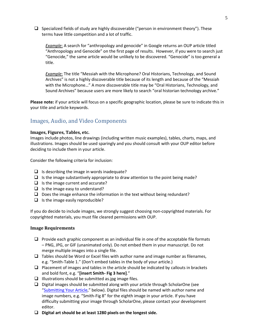$\Box$  Specialized fields of study are highly discoverable ("person in environment theory"). These terms have little competition and a lot of traffic.

*Example*: A search for "anthropology and genocide" in Google returns an OUP article titled "Anthropology and Genocide" on the first page of results. However, if you were to search just "Genocide," the same article would be unlikely to be discovered. "Genocide" is too general a title.

*Example*: The title "Messiah with the Microphone? Oral Historians, Technology, and Sound Archives" is not a highly discoverable title because of its length and because of the "Messiah with the Microphone…" A more discoverable title may be "Oral Historians, Technology, and Sound Archives" because users are more likely to search "oral historian technology archive."

**Please note:** if your article will focus on a specific geographic location, please be sure to indicate this in your title and article keywords.

# Images, Audio, and Video Components

#### **Images, Figures, Tables, etc.**

Images include photos, line drawings (including written music examples), tables, charts, maps, and illustrations. Images should be used sparingly and you should consult with your OUP editor before deciding to include them in your article.

Consider the following criteria for inclusion:

- $\Box$  Is describing the image in words inadequate?
- $\Box$  Is the image substantively appropriate to draw attention to the point being made?
- $\Box$  Is the image current and accurate?
- $\Box$  Is the image easy to understand?
- $\Box$  Does the image enhance the information in the text without being redundant?
- $\Box$  Is the image easily reproducible?

If you do decide to include images, we strongly suggest choosing non-copyrighted materials. For copyrighted materials, you must file cleared permissions with OUP.

#### **Image Requirements**

- $\Box$  Provide each graphic component as an individual file in one of the acceptable file formats – PNG, JPG, or GIF (unanimated only). Do not embed them in your manuscript. Do not merge multiple images into a single file.
- $\Box$  Tables should be Word or Excel files with author name and image number as filenames, e.g. "Smith-Table 1." (Don't embed tables in the body of your article.)
- $\Box$  Placement of images and tables in the article should be indicated by callouts in brackets and bold font, e.g. "**[insert Smith- Fig 3 here]**."
- $\Box$  Illustrations should be submitted as jpg image files.
- $\Box$  Digital images should be submitted along with your article through ScholarOne (see "[Submitting Your Article](#page-8-0)," below). Digital files should be named with author name and image numbers, e.g. "Smith-Fig 8" for the eighth image in your article. If you have difficulty submitting your image through ScholarOne, please contact your development editor.
- **Digital art should be at least 1280 pixels on the longest side.**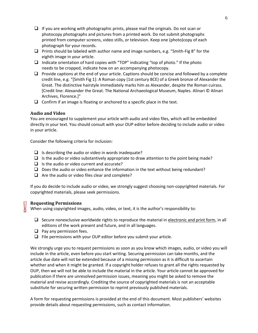- $\Box$  If you are working with photographic prints, please mail the originals. Do not scan or photocopy photographs and pictures from a printed work. Do not submit photographs printed from computer screens, video stills, or television. Keep one (photo)copy of each photograph for your records.
- $\Box$  Prints should be labeled with author name and image numbers, e.g. "Smith-Fig 8" for the eighth image in your article.
- $\Box$  Indicate orientation of hard copies with "TOP" indicating "top of photo." If the photo needs to be cropped, indicate how on an accompanying photocopy.
- $\Box$  Provide captions at the end of your article. Captions should be concise and followed by a complete credit line, e.g. "[Smith Fig 1]: A Roman copy (1st century BCE) of a Greek bronze of Alexander the Great. The distinctive hairstyle immediately marks him as Alexander, despite the Roman cuirass. [Credit line: Alexander the Great. The National Archaeological Museum, Naples. Alinari © Alinari Archives, Florence.]"
- $\Box$  Confirm if an image is floating or anchored to a specific place in the text.

#### **Audio and Video**

You are encouraged to supplement your article with audio and video files, which will be embedded directly in your text. You should consult with your OUP editor before deciding to include audio or video in your article.

Consider the following criteria for inclusion:

- $\Box$  Is describing the audio or video in words inadequate?
- $\Box$  Is the audio or video substantively appropriate to draw attention to the point being made?
- $\Box$  Is the audio or video current and accurate?
- $\Box$  Does the audio or video enhance the information in the text without being redundant?
- $\Box$  Are the audio or video files clear and complete?

If you do decide to include audio or video, we strongly suggest choosing non-copyrighted materials. For copyrighted materials, please seek permissions.

#### **Requesting Permissions**

When using copyrighted images, audio, video, or text, it is the author's responsibility to:

- $\Box$  Secure nonexclusive worldwide rights to reproduce the material in electronic and print form, in all editions of the work present and future, and in all languages.
- $\Box$  Pay any permission fees.
- $\Box$  File permissions with your OUP editor before you submit your article.

We strongly urge you to request permissions as soon as you know which images, audio, or video you will include in the article, even before you start writing. Securing permission can take months, and the article due date will not be extended because of a missing permission as it is difficult to ascertain whether and when it might be granted. If a copyright holder refuses to grant all the rights requested by OUP, then we will not be able to include the material in the article. Your article cannot be approved for publication if there are unresolved permission issues, meaning you might be asked to remove the material and revise accordingly. Crediting the source of copyrighted materials is not an acceptable substitute for securing written permission to reprint previously published materials.

A form for requesting permissions is provided at the end of this document. Most publishers' websites provide details about requesting permissions, such as contact information.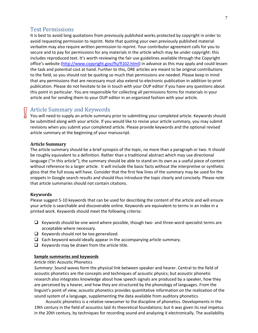#### Text Permissions

It is best to avoid long quotations from previously published works protected by copyright in order to avoid requesting permission to reprint. Note that quoting your own previously published material verbatim may also require written permission to reprint. Your contributor agreement calls for you to secure and to pay for permissions for any materials in the article which may be under copyright: this includes reproduced text. It's worth reviewing the fair use guidelines available through the Copyright office's website ([http://www.copyright.gov/fls/fl102.html\)](http://www.copyright.gov/fls/fl102.html) in advance as this may apply and could lessen the task and potential cost at hand. Further to this, ORE articles are meant to be original contributions to the field, so you should not be quoting so much that permissions are needed. Please keep in mind that any permissions that are necessary must also extend to electronic publication in addition to print publication. Please do not hesitate to be in touch with your OUP editor if you have any questions about this point in particular. You are responsible for collecting all permissions forms for materials in your article and for sending them to your OUP editor in an organized fashion with your article.

# <span id="page-6-0"></span>Article Summary and Keywords

You will need to supply an article summary prior to submitting your completed article. Keywords should be submitted along with your article. If you would like to revise your article summary, you may submit revisions when you submit your completed article. Please provide keywords and the optional revised article summary at the beginning of your manuscript.

#### **Article Summary**

The article summary should be a brief synopsis of the topic, no more than a paragraph or two. It should be roughly equivalent to a definition. Rather than a traditional abstract which may use directional language ("in this article"), the summary should be able to stand on its own as a useful piece of content without reference to a larger article. It will include the basic facts without the interpretive or synthetic gloss that the full essay will have. Consider that the first few lines of the summary may be used for the snippets in Google search results and should thus introduce the topic clearly and concisely. Please note that article summaries should not contain citations.

#### **Keywords**

Please suggest 5-10 keywords that can be used for describing the content of the article and will ensure your article is searchable and discoverable online. Keywords are equivalent to terms in an index in a printed work. Keywords should meet the following criteria:

- $\Box$  Keywords should be one word where possible, though two- and three-word specialist terms are acceptable where necessary.
- $\Box$  Keywords should not be too generalized.
- $\Box$  Each keyword would ideally appear in the accompanying article summary.
- $\Box$  Keywords may be drawn from the article title.

#### **Sample summaries and keywords**

#### *Article title***:** Acoustic Phonetics

*Summary*: Sound waves form the physical link between speaker and hearer. Central to the field of acoustic phonetics are the concepts and techniques of acoustic physics; but acoustic phonetic research also integrates knowledge about how speech signals are produced by a speaker, how they are perceived by a hearer, and how they are structured by the phonology of languages. From the linguist's point of view, acoustic phonetics provides quantitative information on the realization of the sound system of a language, supplementing the data available from auditory phonetics.

Acoustic phonetics is a relative newcomer to the discipline of phonetics. Developments in the 19th century in the field of acoustics laid its theoretical foundations; but it was given its real impetus in the 20th century, by techniques for recording sound and analyzing it electronically. The availability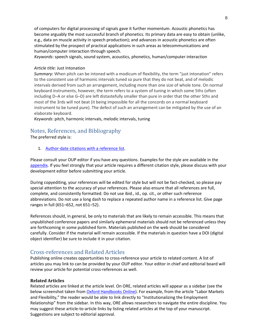of computers for digital processing of signals gave it further momentum. Acoustic phonetics has become arguably the most successful branch of phonetics. Its primary data are easy to obtain (unlike, e.g., data on muscle activity in speech production); and advances in acoustic phonetics are often stimulated by the prospect of practical applications in such areas as telecommunications and human/computer interaction through speech.

*Keywords*: speech signals, sound system, acoustics, phonetics, human/computer interaction

#### *Article title:* Just Intonation

*Summary:* When pitch can be intoned with a modicum of flexibility, the term "just intonation" refers to the consistent use of harmonic intervals tuned so pure that they do not beat, and of melodic intervals derived from such an arrangement, including more than one size of whole tone. On normal keyboard instruments, however, the term refers to a system of tuning in which some 5ths (often including D–A or else G–D) are left distastefully smaller than pure in order that the other 5ths and most of the 3rds will not beat (it being impossible for all the concords on a normal keyboard instrument to be tuned pure). The defect of such an arrangement can be mitigated by the use of an elaborate keyboard.

*Keywords*: pitch, harmonic intervals, melodic intervals, tuning

# <span id="page-7-0"></span>Notes, References, and Bibliography

The preferred style is:

1. Author-date citations with a reference list.

Please consult your OUP editor if you have any questions. Examples for the style are available in the [appendix.](#page-11-0) If you feel strongly that your article requires a different citation style, please discuss with your development editor before submitting your article.

During copyediting, your references will be edited for style but will not be fact-checked, so please pay special attention to the accuracy of your references. Please also ensure that all references are full, complete, and consistently formatted. Do not use ibid., id., op. cit., or other such reference abbreviations. Do not use a long dash to replace a repeated author name in a reference list. Give page ranges in full (651–652, not 651–52).

References should, in general, be only to materials that are likely to remain accessible. This means that unpublished conference papers and similarly ephemeral materials should not be referenced unless they are forthcoming in some published form. Materials published on the web should be considered carefully. Consider if the material will remain accessible. If the materials in question have a DOI (digital object identifier) be sure to include it in your citation.

# Cross-references and Related Articles

Publishing online creates opportunities to cross-reference your article to related content. A list of articles you may link to can be provided by your OUP editor. Your editor in chief and editorial board will review your article for potential cross-references as well.

#### **Related Articles**

Related articles are linked at the article level. On ORE, related articles will appear as a sidebar (see the below screenshot taken fro[m Oxford Handbooks Online\)](http://www.oxfordhandbooks.com/). For example, from the article "Labor Markets and Flexibility," the reader would be able to link directly to "Institutionalizing the Employment Relationship" from the sidebar. In this way, ORE allows researchers to navigate the entire discipline. You may suggest these article-to-article links by listing related articles at the top of your manuscript. Suggestions are subject to editorial approval.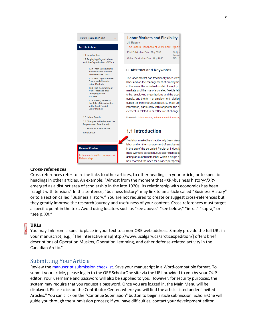

#### **Cross-references**

Cross-references refer to in-line links to other articles, to other headings in your article, or to specific headings in other articles. An example: "Almost from the moment that <XR>business history</XR> emerged as a distinct area of scholarship in the late 1920s, its relationship with economics has been fraught with tension." In this sentence, "business history" may link to an article called "Business History" or to a section called "Business History." You are not required to create or suggest cross-references but they greatly improve the research journey and usefulness of your content. Cross-references must target a specific point in the text. Avoid using locators such as "see above," "see below," "infra," "supra," or "see p. XX."

#### **URLs**

You may link from a specific place in your text to a non-ORE web address. Simply provide the full URL in your manuscript; e.g., "The interactive map[http://www.ucalgary.ca/arcticexpedition/] offers brief descriptions of Operation Muskox, Operation Lemming, and other defense-related activity in the Canadian Arctic."

# <span id="page-8-0"></span>Submitting Your Article

Review the [manuscript submission checklist.](#page-2-0) Save your manuscript in a Word-compatible format. To submit your article, please log in to the ORE ScholarOne site via the URL provided to you by your OUP editor. Your username and password will also be supplied to you. However, for security purposes, the system may require that you request a password. Once you are logged in, the Main Menu will be displayed. Please click on the Contributor Center, where you will find the article listed under "Invited Articles." You can click on the "Continue Submission" button to begin article submission. ScholarOne will guide you through the submission process; if you have difficulties, contact your development editor.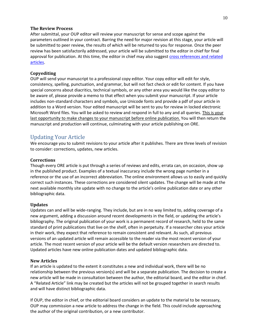#### **The Review Process**

After submittal, your OUP editor will review your manuscript for sense and scope against the parameters outlined in your contract. Barring the need for major revision at this stage, your article will be submitted to peer review, the results of which will be returned to you for response. Once the peer review has been satisfactorily addressed, your article will be submitted to the editor in chief for final approval for publication. At this time, the editor in chief may also suggest cross references and related articles.

#### **Copyediting**

OUP will send your manuscript to a professional copy editor. Your copy editor will edit for style, consistency, spelling, punctuation, and grammar, but will not fact check or edit for content. If you have special concerns about diacritics, technical symbols, or any other area you would like the copy editor to be aware of, please provide a memo to that effect when you submit your manuscript. If your article includes non-standard characters and symbols, use Unicode fonts and provide a pdf of your article in addition to a Word version. Your edited manuscript will be sent to you for review in locked electronic Microsoft Word files. You will be asked to review and respond in full to any and all queries. *This is your* last opportunity to make changes to your manuscript before online publication. You will then return the manuscript and production will continue, culminating with your article publishing on ORE.

# Updating Your Article

We encourage you to submit revisions to your article after it publishes. There are three levels of revision to consider: corrections, updates, new articles.

#### **Corrections**

Though every ORE article is put through a series of reviews and edits, errata can, on occasion, show up in the published product. Examples of a textual inaccuracy include the wrong page number in a reference or the use of an incorrect abbreviation. The online environment allows us to easily and quickly correct such instances. These corrections are considered silent updates. The change will be made at the next available monthly site update with no change to the article's online publication date or any other bibliographic data.

#### **Updates**

Updates can and will be wide-ranging. They include, but are in no way limited to, adding coverage of a new argument, adding a discussion around recent developments in the field, or updating the article's bibliography. The original publication of your work is a permanent record of research, held to the same standard of print publications that live on the shelf, often in perpetuity. If a researcher cites your article in their work, they expect that reference to remain consistent and relevant. As such, all previous versions of an updated article will remain accessible to the reader via the most recent version of your article. The most recent version of your article will be the default version researchers are directed to. Updated articles have new online publication dates and updated bibliographic data.

#### **New Articles**

If an article is updated to the extent it constitutes a new and individual work, there will be no relationship between the previous version(s) and will be a separate publication. The decision to create a new article will be made in consultation between the author, the editorial board, and the editor in chief. A "Related Article" link may be created but the articles will not be grouped together in search results and will have distinct bibliographic data.

If OUP, the editor in chief, or the editorial board considers an update to the material to be necessary, OUP may commission a new article to address the change in the field. This could include approaching the author of the original contribution, or a new contributor.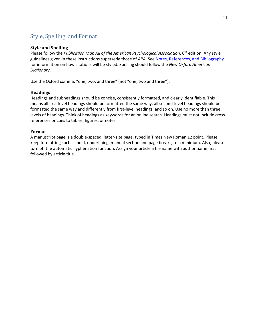# Style, Spelling, and Format

#### **Style and Spelling**

Please follow the *Publication Manual of the American Psychological Association*, 6<sup>th</sup> edition. Any style guidelines given in these instructions supersede those of *APA*. Se[e Notes, References, and Bibliography](#page-7-0) for information on how citations will be styled. Spelling should follow the *New Oxford American Dictionary*.

Use the Oxford comma: "one, two, and three" (not "one, two and three").

#### **Headings**

Headings and subheadings should be concise, consistently formatted, and clearly identifiable. This means all first-level headings should be formatted the same way, all second-level headings should be formatted the same way and differently from first-level headings, and so on. Use no more than three levels of headings. Think of headings as keywords for an online search. Headings must not include crossreferences or cues to tables, figures, or notes.

#### **Format**

A manuscript page is a double-spaced, letter-size page, typed in Times New Roman 12 point. Please keep formatting such as bold, underlining, manual section and page breaks, to a minimum. Also, please turn off the automatic hyphenation function. Assign your article a file name with author name first followed by article title.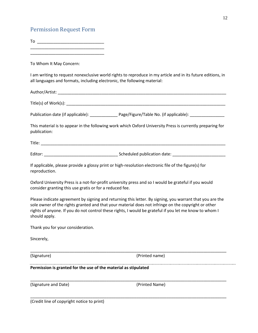# Permission Request Form

To \_\_\_\_\_\_\_\_\_\_\_\_\_\_\_\_\_\_\_\_\_\_\_\_\_\_\_\_\_ \_\_\_\_\_\_\_\_\_\_\_\_\_\_\_\_\_\_\_\_\_\_\_\_\_\_\_\_\_\_\_\_

\_\_\_\_\_\_\_\_\_\_\_\_\_\_\_\_\_\_\_\_\_\_\_\_\_\_\_\_\_\_\_\_

To Whom It May Concern:

I am writing to request nonexclusive world rights to reproduce in my article and in its future editions, in all languages and formats, including electronic, the following material:

Author/Artist: \_\_\_\_\_\_\_\_\_\_\_\_\_\_\_\_\_\_\_\_\_\_\_\_\_\_\_\_\_\_\_\_\_\_\_\_\_\_\_\_\_\_\_\_\_\_\_\_\_\_\_\_\_\_\_\_\_\_\_\_\_\_\_\_\_\_\_\_\_\_\_\_\_

Title(s) of Work(s): \_\_\_\_\_\_\_\_\_\_\_\_\_\_\_\_\_\_\_\_\_\_\_\_\_\_\_\_\_\_\_\_\_\_\_\_\_\_\_\_\_\_\_\_\_\_\_\_\_\_\_\_\_\_\_\_\_\_\_\_\_\_\_\_\_\_\_\_\_

Publication date (if applicable): \_\_\_\_\_\_\_\_\_\_\_\_\_\_\_Page/Figure/Table No. (if applicable): \_\_\_\_\_\_\_\_\_\_\_\_\_\_\_\_\_\_

This material is to appear in the following work which Oxford University Press is currently preparing for publication:

Title: \_\_\_\_\_\_\_\_\_\_\_\_\_\_\_\_\_\_\_\_\_\_\_\_\_\_\_\_\_\_\_\_\_\_\_\_\_\_\_\_\_\_\_\_\_\_\_\_\_\_\_\_\_\_\_\_\_\_\_\_\_\_\_\_\_\_\_\_\_\_\_\_\_\_\_\_\_\_\_\_

Editor: entitled publication date:

If applicable, please provide a glossy print or high-resolution electronic file of the figure(s) for reproduction.

Oxford University Press is a not-for-profit university press and so I would be grateful if you would consider granting this use gratis or for a reduced fee.

Please indicate agreement by signing and returning this letter. By signing, you warrant that you are the sole owner of the rights granted and that your material does not infringe on the copyright or other rights of anyone. If you do not control these rights, I would be grateful if you let me know to whom I should apply.

\_\_\_\_\_\_\_\_\_\_\_\_\_\_\_\_\_\_\_\_\_\_\_\_\_\_\_\_\_\_\_\_\_\_\_\_\_\_\_\_\_\_\_\_\_\_\_\_\_\_\_\_\_\_\_\_\_\_\_\_\_\_\_\_\_\_\_\_\_\_\_\_\_\_\_\_\_\_\_\_\_\_\_\_\_

\_\_\_\_\_\_\_\_\_\_\_\_\_\_\_\_\_\_\_\_\_\_\_\_\_\_\_\_\_\_\_\_\_\_\_\_\_\_\_\_\_\_\_\_\_\_\_\_\_\_\_\_\_\_\_\_\_\_\_\_\_\_\_\_\_\_\_\_\_\_\_\_\_\_\_\_\_\_\_\_\_\_\_\_\_

\_\_\_\_\_\_\_\_\_\_\_\_\_\_\_\_\_\_\_\_\_\_\_\_\_\_\_\_\_\_\_\_\_\_\_\_\_\_\_\_\_\_\_\_\_\_\_\_\_\_\_\_\_\_\_\_\_\_\_\_\_\_\_\_\_\_\_\_\_\_\_\_\_\_\_\_\_\_\_\_\_\_\_\_\_

Thank you for your consideration.

Sincerely,

(Signature) (Printed name)

#### **Permission is granted for the use of the material as stipulated**

(Signature and Date) (Printed Name)

<span id="page-11-0"></span>

(Credit line of copyright notice to print)